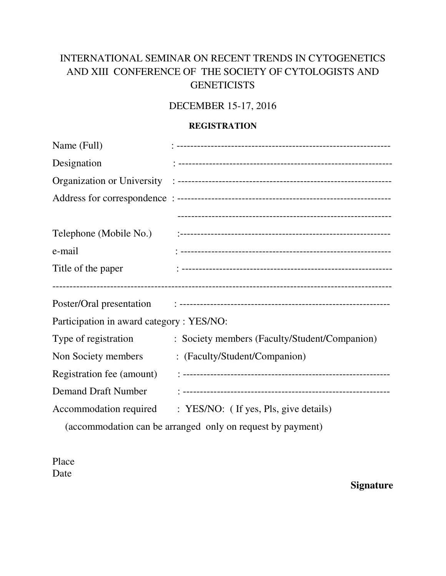## INTERNATIONAL SEMINAR ON RECENT TRENDS IN CYTOGENETICS AND XIII CONFERENCE OF THE SOCIETY OF CYTOLOGISTS AND **GENETICISTS**

## DECEMBER 15-17, 2016

## **REGISTRATION**

| Name (Full)                                                |                                                              |
|------------------------------------------------------------|--------------------------------------------------------------|
| Designation                                                |                                                              |
|                                                            |                                                              |
|                                                            |                                                              |
|                                                            |                                                              |
| Telephone (Mobile No.)                                     |                                                              |
| e-mail                                                     |                                                              |
| Title of the paper                                         |                                                              |
| Poster/Oral presentation                                   |                                                              |
| Participation in award category : YES/NO:                  |                                                              |
| Type of registration                                       | : Society members (Faculty/Student/Companion)                |
| Non Society members                                        | : (Faculty/Student/Companion)                                |
| Registration fee (amount)                                  |                                                              |
| <b>Demand Draft Number</b>                                 |                                                              |
|                                                            | Accommodation required : YES/NO: (If yes, Pls, give details) |
| (accommodation can be arranged only on request by payment) |                                                              |

Place Date

**Signature**